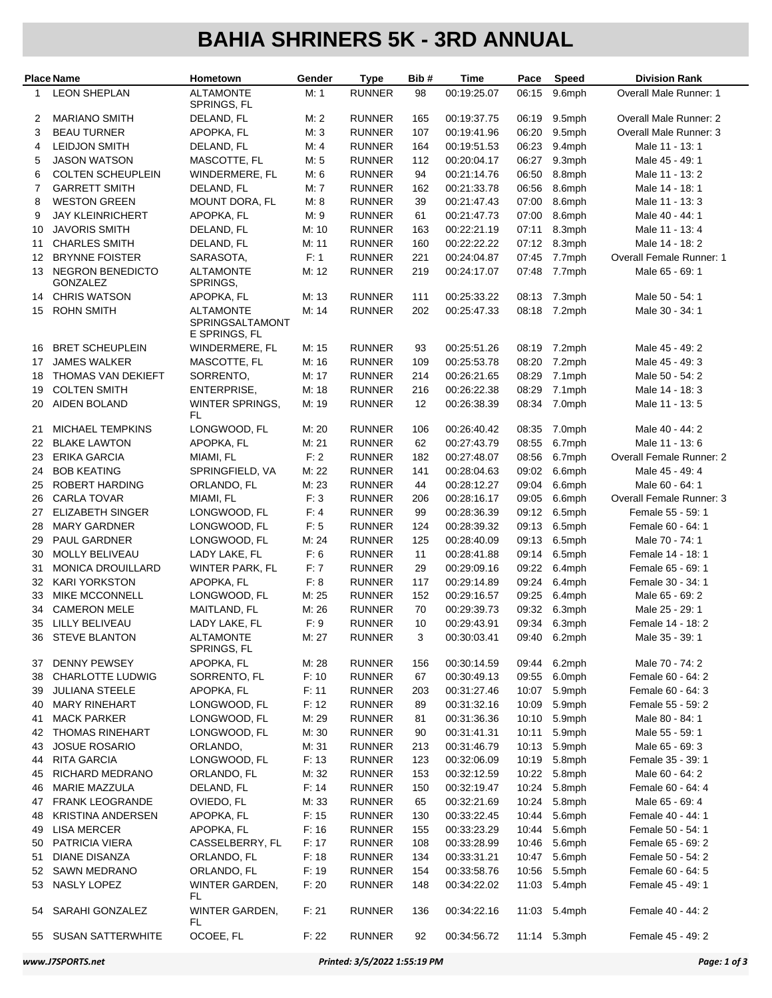## **BAHIA SHRINERS 5K - 3RD ANNUAL**

|                | <b>Place Name</b>                              | Hometown                                             | Gender         | <b>Type</b>                    | Bib#              | Time                       | Pace           | <b>Speed</b>     | <b>Division Rank</b>               |
|----------------|------------------------------------------------|------------------------------------------------------|----------------|--------------------------------|-------------------|----------------------------|----------------|------------------|------------------------------------|
| 1              | <b>LEON SHEPLAN</b>                            | <b>ALTAMONTE</b><br>SPRINGS, FL                      | M: 1           | <b>RUNNER</b>                  | 98                | 00:19:25.07                | 06:15          | 9.6mph           | Overall Male Runner: 1             |
| 2              | <b>MARIANO SMITH</b>                           | DELAND, FL                                           | M: 2           | <b>RUNNER</b>                  | 165               | 00:19:37.75                | 06:19          | 9.5mph           | <b>Overall Male Runner: 2</b>      |
| 3              | <b>BEAU TURNER</b>                             | APOPKA, FL                                           | M: 3           | <b>RUNNER</b>                  | 107               | 00:19:41.96                | 06:20          | 9.5mph           | Overall Male Runner: 3             |
| 4              | <b>LEIDJON SMITH</b>                           | DELAND, FL                                           | M: 4           | <b>RUNNER</b>                  | 164               | 00:19:51.53                | 06:23          | 9.4mph           | Male 11 - 13: 1                    |
| 5              | <b>JASON WATSON</b>                            | MASCOTTE, FL                                         | M: 5           | <b>RUNNER</b>                  | 112               | 00:20:04.17                | 06:27          | 9.3mph           | Male 45 - 49: 1                    |
| 6              | <b>COLTEN SCHEUPLEIN</b>                       | WINDERMERE, FL                                       | M: 6           | <b>RUNNER</b>                  | 94                | 00:21:14.76                | 06:50          | 8.8mph           | Male 11 - 13: 2                    |
| $\overline{7}$ | <b>GARRETT SMITH</b>                           | DELAND, FL                                           | M: 7           | <b>RUNNER</b>                  | 162               | 00:21:33.78                | 06:56          | 8.6mph           | Male 14 - 18: 1                    |
| 8              | <b>WESTON GREEN</b>                            | MOUNT DORA, FL                                       | M: 8           | <b>RUNNER</b>                  | 39                | 00:21:47.43                | 07:00          | 8.6mph           | Male 11 - 13: 3                    |
| 9              | <b>JAY KLEINRICHERT</b>                        | APOPKA, FL                                           | M: 9           | <b>RUNNER</b>                  | 61                | 00:21:47.73                | 07:00          | 8.6mph           | Male 40 - 44: 1                    |
| 10             | <b>JAVORIS SMITH</b>                           | DELAND, FL                                           | M: 10          | <b>RUNNER</b>                  | 163               | 00:22:21.19                | 07:11          | 8.3mph           | Male 11 - 13: 4                    |
| 11             | <b>CHARLES SMITH</b>                           | DELAND, FL                                           | M: 11          | <b>RUNNER</b>                  | 160               | 00:22:22.22                | 07:12          | 8.3mph           | Male 14 - 18: 2                    |
| 12             | <b>BRYNNE FOISTER</b>                          | SARASOTA,                                            | F: 1           | <b>RUNNER</b>                  | 221               | 00:24:04.87                | 07:45          | 7.7mph           | Overall Female Runner: 1           |
| 13             | <b>NEGRON BENEDICTO</b><br><b>GONZALEZ</b>     | <b>ALTAMONTE</b><br>SPRINGS,                         | M: 12          | <b>RUNNER</b>                  | 219               | 00:24:17.07                | 07:48          | 7.7mph           | Male 65 - 69: 1                    |
| 14             | <b>CHRIS WATSON</b>                            | APOPKA, FL                                           | M: 13          | <b>RUNNER</b>                  | 111               | 00:25:33.22                | 08:13          | 7.3mph           | Male 50 - 54: 1                    |
| 15             | <b>ROHN SMITH</b>                              | <b>ALTAMONTE</b><br>SPRINGSALTAMONT<br>E SPRINGS, FL | M: 14          | <b>RUNNER</b>                  | 202               | 00:25:47.33                | 08:18          | 7.2mph           | Male 30 - 34: 1                    |
| 16             | <b>BRET SCHEUPLEIN</b>                         | WINDERMERE, FL                                       | M: 15          | <b>RUNNER</b>                  | 93                | 00:25:51.26                | 08:19          | 7.2mph           | Male 45 - 49: 2                    |
| 17             | <b>JAMES WALKER</b>                            | MASCOTTE, FL                                         | M: 16          | <b>RUNNER</b>                  | 109               | 00:25:53.78                | 08:20          | 7.2mph           | Male 45 - 49: 3                    |
| 18             | THOMAS VAN DEKIEFT                             | SORRENTO,                                            | M: 17          | <b>RUNNER</b>                  | 214               | 00:26:21.65                | 08:29          | 7.1mph           | Male 50 - 54: 2                    |
| 19             | <b>COLTEN SMITH</b>                            | ENTERPRISE,                                          | M: 18          | <b>RUNNER</b>                  | 216               | 00:26:22.38                | 08:29          | 7.1mph           | Male 14 - 18: 3                    |
| 20             | <b>AIDEN BOLAND</b>                            | WINTER SPRINGS,<br>FL                                | M: 19          | <b>RUNNER</b>                  | $12 \overline{ }$ | 00:26:38.39                | 08:34          | 7.0mph           | Male 11 - 13: 5                    |
| 21             | <b>MICHAEL TEMPKINS</b>                        | LONGWOOD, FL                                         | M: 20          | <b>RUNNER</b>                  | 106               | 00:26:40.42                | 08:35          | 7.0mph           | Male 40 - 44: 2                    |
| 22             | <b>BLAKE LAWTON</b>                            | APOPKA, FL                                           | M: 21          | <b>RUNNER</b>                  | 62                | 00:27:43.79                | 08:55          | 6.7mph           | Male 11 - 13: 6                    |
| 23             | <b>ERIKA GARCIA</b>                            | MIAMI, FL                                            | F: 2           | <b>RUNNER</b>                  | 182               | 00:27:48.07                | 08:56          | 6.7mph           | Overall Female Runner: 2           |
| 24             | <b>BOB KEATING</b>                             | SPRINGFIELD, VA                                      | M: 22          | <b>RUNNER</b>                  | 141               | 00:28:04.63                | 09:02          | 6.6mph           | Male 45 - 49: 4                    |
| 25             | ROBERT HARDING                                 | ORLANDO, FL                                          | M: 23          | <b>RUNNER</b>                  | 44                | 00:28:12.27                | 09:04          | 6.6mph           | Male 60 - 64: 1                    |
| 26             | <b>CARLA TOVAR</b>                             | MIAMI, FL                                            | F: 3           | <b>RUNNER</b>                  | 206               | 00:28:16.17                | 09:05          | 6.6mph           | Overall Female Runner: 3           |
| 27             | <b>ELIZABETH SINGER</b>                        | LONGWOOD, FL                                         | F: 4           | <b>RUNNER</b>                  | 99                | 00:28:36.39                | 09:12          | 6.5mph           | Female 55 - 59: 1                  |
| 28             | <b>MARY GARDNER</b>                            | LONGWOOD, FL                                         | F: 5           | <b>RUNNER</b>                  | 124               | 00:28:39.32                | 09:13          | 6.5mph           | Female 60 - 64: 1                  |
| 29             | PAUL GARDNER                                   | LONGWOOD, FL                                         | M: 24          | <b>RUNNER</b>                  | 125               | 00:28:40.09                | 09:13          | 6.5mph           | Male 70 - 74: 1                    |
| 30             | <b>MOLLY BELIVEAU</b>                          | LADY LAKE, FL                                        | F: 6           | <b>RUNNER</b>                  | 11                | 00:28:41.88                | 09:14          | 6.5mph           | Female 14 - 18: 1                  |
| 31             | MONICA DROUILLARD                              | <b>WINTER PARK, FL</b>                               | F:7            | <b>RUNNER</b>                  | 29                | 00:29:09.16                | 09:22          | 6.4mph           | Female 65 - 69: 1                  |
| 32             | <b>KARI YORKSTON</b>                           | APOPKA, FL                                           | F: 8           | <b>RUNNER</b>                  | 117               | 00:29:14.89                | 09:24          | 6.4mph           | Female 30 - 34: 1                  |
| 33             | MIKE MCCONNELL                                 | LONGWOOD, FL                                         | M: 25          | <b>RUNNER</b>                  | 152               | 00:29:16.57                | 09:25          | 6.4mph           | Male 65 - 69: 2                    |
| 34             | <b>CAMERON MELE</b>                            | MAITLAND, FL                                         | M: 26          | <b>RUNNER</b>                  | 70                | 00:29:39.73                | 09:32          | 6.3mph           | Male 25 - 29: 1                    |
| 35             | <b>LILLY BELIVEAU</b>                          | LADY LAKE, FL                                        | F: 9           | <b>RUNNER</b>                  | 10                | 00:29:43.91                | 09:34          | 6.3mph           | Female 14 - 18: 2                  |
|                | 36 STEVE BLANTON                               | <b>ALTAMONTE</b><br>SPRINGS, FL                      | M: 27          | <b>RUNNER</b>                  | 3                 | 00:30:03.41                |                | 09:40 6.2mph     | Male 35 - 39: 1                    |
| 37             | <b>DENNY PEWSEY</b>                            | APOPKA, FL                                           | M: 28          | <b>RUNNER</b>                  | 156               | 00:30:14.59                | 09:44          | 6.2mph           | Male 70 - 74: 2                    |
| 38             | CHARLOTTE LUDWIG                               | SORRENTO, FL                                         | F: 10          | <b>RUNNER</b>                  | 67                | 00:30:49.13                | 09:55          | 6.0mph           | Female 60 - 64: 2                  |
| 39             | <b>JULIANA STEELE</b><br><b>MARY RINEHART</b>  | APOPKA, FL                                           | F: 11          | <b>RUNNER</b>                  | 203               | 00:31:27.46                | 10:07          | 5.9mph<br>5.9mph | Female 60 - 64: 3                  |
| 40             | <b>MACK PARKER</b>                             | LONGWOOD, FL                                         | F: 12<br>M: 29 | <b>RUNNER</b><br><b>RUNNER</b> | 89                | 00:31:32.16<br>00:31:36.36 | 10:09          |                  | Female 55 - 59: 2                  |
| 41             |                                                | LONGWOOD, FL                                         |                | <b>RUNNER</b>                  | 81                |                            | 10:10          | 5.9mph           | Male 80 - 84: 1                    |
| 42             | <b>THOMAS RINEHART</b><br><b>JOSUE ROSARIO</b> | LONGWOOD, FL<br>ORLANDO,                             | M: 30<br>M: 31 | <b>RUNNER</b>                  | 90<br>213         | 00:31:41.31<br>00:31:46.79 | 10:11<br>10:13 | 5.9mph<br>5.9mph | Male 55 - 59: 1<br>Male 65 - 69: 3 |
| 43<br>44       | <b>RITA GARCIA</b>                             | LONGWOOD, FL                                         | F: 13          | <b>RUNNER</b>                  | 123               | 00:32:06.09                | 10:19          | 5.8mph           | Female 35 - 39: 1                  |
| 45             | RICHARD MEDRANO                                | ORLANDO, FL                                          | M: 32          | <b>RUNNER</b>                  | 153               | 00:32:12.59                | 10:22          | 5.8mph           | Male 60 - 64: 2                    |
| 46             | MARIE MAZZULA                                  | DELAND, FL                                           | F: 14          | <b>RUNNER</b>                  | 150               | 00:32:19.47                | 10:24          | 5.8mph           | Female 60 - 64: 4                  |
| 47             | <b>FRANK LEOGRANDE</b>                         | OVIEDO, FL                                           | M: 33          | <b>RUNNER</b>                  | 65                | 00:32:21.69                | 10:24          | 5.8mph           | Male 65 - 69: 4                    |
| 48             | <b>KRISTINA ANDERSEN</b>                       | APOPKA, FL                                           | F: 15          | <b>RUNNER</b>                  | 130               | 00:33:22.45                | 10:44          | 5.6mph           | Female 40 - 44: 1                  |
| 49             | <b>LISA MERCER</b>                             | APOPKA, FL                                           | F: 16          | <b>RUNNER</b>                  | 155               | 00:33:23.29                | 10:44          | 5.6mph           | Female 50 - 54: 1                  |
| 50             | PATRICIA VIERA                                 | CASSELBERRY, FL                                      | F: 17          | <b>RUNNER</b>                  | 108               | 00:33:28.99                | 10:46          | 5.6mph           | Female 65 - 69: 2                  |
| 51             | DIANE DISANZA                                  | ORLANDO, FL                                          | F: 18          | <b>RUNNER</b>                  | 134               | 00:33:31.21                | 10:47          | 5.6mph           | Female 50 - 54: 2                  |
| 52             | SAWN MEDRANO                                   | ORLANDO, FL                                          | F: 19          | <b>RUNNER</b>                  | 154               | 00:33:58.76                | 10:56          | 5.5mph           | Female 60 - 64: 5                  |
| 53             | NASLY LOPEZ                                    | WINTER GARDEN,                                       | F: 20          | <b>RUNNER</b>                  | 148               | 00:34:22.02                | 11:03          | 5.4mph           | Female 45 - 49: 1                  |
| 54             | SARAHI GONZALEZ                                | FL<br>WINTER GARDEN,                                 | F: 21          | <b>RUNNER</b>                  | 136               | 00:34:22.16                | 11:03          | 5.4mph           | Female 40 - 44: 2                  |
| 55             | <b>SUSAN SATTERWHITE</b>                       | FL<br>OCOEE, FL                                      | F: 22          | <b>RUNNER</b>                  | 92                | 00:34:56.72                |                | 11:14 5.3mph     | Female 45 - 49: 2                  |
|                |                                                |                                                      |                |                                |                   |                            |                |                  |                                    |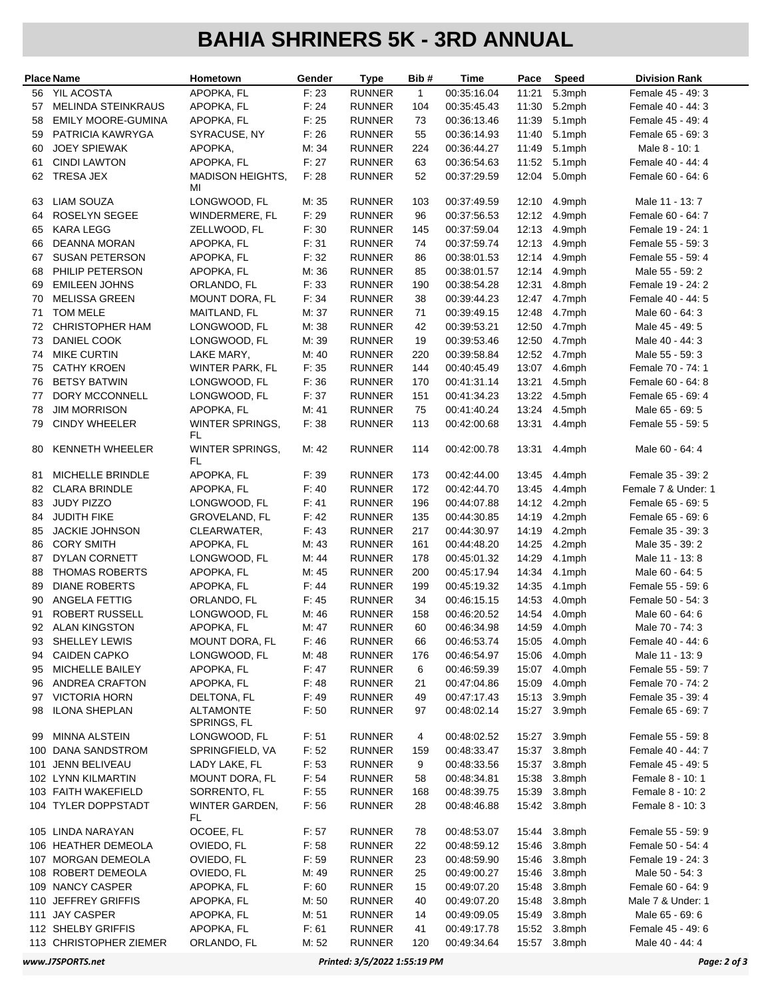## **BAHIA SHRINERS 5K - 3RD ANNUAL**

| <b>Place Name</b> |                                    | Hometown                        | Gender         | <b>Type</b>                    | Bib#         | Time                       | Pace           | Speed            | <b>Division Rank</b>               |
|-------------------|------------------------------------|---------------------------------|----------------|--------------------------------|--------------|----------------------------|----------------|------------------|------------------------------------|
| 56                | <b>YIL ACOSTA</b>                  | APOPKA, FL                      | F: 23          | <b>RUNNER</b>                  | $\mathbf{1}$ | 00:35:16.04                | 11:21          | 5.3mph           | Female 45 - 49: 3                  |
| 57                | <b>MELINDA STEINKRAUS</b>          | APOPKA, FL                      | F: 24          | <b>RUNNER</b>                  | 104          | 00:35:45.43                | 11:30          | 5.2mph           | Female 40 - 44: 3                  |
| 58                | <b>EMILY MOORE-GUMINA</b>          | APOPKA, FL                      | F: 25          | <b>RUNNER</b>                  | 73           | 00:36:13.46                | 11:39          | 5.1mph           | Female 45 - 49: 4                  |
| 59                | PATRICIA KAWRYGA                   | SYRACUSE, NY                    | F:26           | <b>RUNNER</b>                  | 55           | 00:36:14.93                | 11:40          | 5.1mph           | Female 65 - 69: 3                  |
| 60                | <b>JOEY SPIEWAK</b>                | APOPKA,                         | M: 34          | <b>RUNNER</b>                  | 224          | 00:36:44.27                | 11:49          | 5.1mph           | Male 8 - 10: 1                     |
| 61                | <b>CINDI LAWTON</b>                | APOPKA, FL                      | F: 27          | <b>RUNNER</b>                  | 63           | 00:36:54.63                | 11:52          | 5.1mph           | Female 40 - 44: 4                  |
| 62                | TRESA JEX                          | <b>MADISON HEIGHTS,</b><br>MI   | F: 28          | <b>RUNNER</b>                  | 52           | 00:37:29.59                | 12:04          | 5.0mph           | Female 60 - 64: 6                  |
| 63                | LIAM SOUZA                         | LONGWOOD, FL                    | M: 35          | <b>RUNNER</b>                  | 103          | 00:37:49.59                | 12:10          | 4.9mph           | Male 11 - 13: 7                    |
| 64                | <b>ROSELYN SEGEE</b>               | WINDERMERE, FL                  | F: 29          | <b>RUNNER</b>                  | 96           | 00:37:56.53                | 12:12          | 4.9mph           | Female 60 - 64: 7                  |
| 65                | <b>KARA LEGG</b>                   | ZELLWOOD, FL                    | F: 30          | <b>RUNNER</b>                  | 145          | 00:37:59.04                | 12:13          | 4.9mph           | Female 19 - 24: 1                  |
| 66                | DEANNA MORAN                       | APOPKA, FL                      | F: 31          | <b>RUNNER</b>                  | 74           | 00:37:59.74                | 12:13          | 4.9mph           | Female 55 - 59: 3                  |
| 67                | <b>SUSAN PETERSON</b>              | APOPKA, FL                      | F: 32          | <b>RUNNER</b>                  | 86           | 00:38:01.53                | 12:14          | 4.9mph           | Female 55 - 59: 4                  |
| 68                | PHILIP PETERSON                    | APOPKA, FL                      | M: 36          | <b>RUNNER</b>                  | 85           | 00:38:01.57                | 12:14          | 4.9mph           | Male 55 - 59: 2                    |
| 69                | <b>EMILEEN JOHNS</b>               | ORLANDO, FL                     | F: 33          | <b>RUNNER</b>                  | 190          | 00:38:54.28                | 12:31          | 4.8mph           | Female 19 - 24: 2                  |
| 70                | <b>MELISSA GREEN</b>               | MOUNT DORA, FL                  | F: 34          | <b>RUNNER</b>                  | 38           | 00:39:44.23                | 12:47          | 4.7mph           | Female 40 - 44: 5                  |
| 71                | <b>TOM MELE</b>                    | MAITLAND, FL                    | M: 37          | <b>RUNNER</b>                  | 71           | 00:39:49.15                | 12:48          | 4.7mph           | Male 60 - 64: 3                    |
| 72                | <b>CHRISTOPHER HAM</b>             | LONGWOOD, FL                    | M: 38          | <b>RUNNER</b>                  | 42           | 00:39:53.21                | 12:50          | 4.7mph           | Male 45 - 49: 5                    |
| 73                | <b>DANIEL COOK</b>                 | LONGWOOD, FL                    | M: 39          | <b>RUNNER</b>                  | 19           | 00:39:53.46                | 12:50          | 4.7mph           | Male 40 - 44: 3                    |
| 74                | <b>MIKE CURTIN</b>                 | LAKE MARY,                      | M: 40          | <b>RUNNER</b>                  | 220          | 00:39:58.84                | 12:52          | 4.7mph           | Male 55 - 59: 3                    |
| 75                | <b>CATHY KROEN</b>                 | WINTER PARK, FL                 | F: 35          | <b>RUNNER</b>                  | 144          | 00:40:45.49                | 13:07          | 4.6mph           | Female 70 - 74: 1                  |
| 76                | <b>BETSY BATWIN</b>                | LONGWOOD, FL                    | F: 36          | <b>RUNNER</b>                  | 170          | 00:41:31.14                | 13:21          | 4.5mph           | Female 60 - 64: 8                  |
| 77                | DORY MCCONNELL                     | LONGWOOD, FL                    | F: 37          | <b>RUNNER</b>                  | 151          | 00:41:34.23                | 13:22          | 4.5mph           | Female 65 - 69: 4                  |
| 78                | <b>JIM MORRISON</b>                | APOPKA, FL                      | M: 41          | <b>RUNNER</b>                  | 75           | 00:41:40.24                | 13:24          | 4.5mph           | Male 65 - 69: 5                    |
| 79                | <b>CINDY WHEELER</b>               | <b>WINTER SPRINGS,</b><br>FL    | F: 38          | <b>RUNNER</b>                  | 113          | 00:42:00.68                | 13:31          | 4.4mph           | Female 55 - 59: 5                  |
| 80                | KENNETH WHEELER                    | <b>WINTER SPRINGS,</b><br>FL    | M: 42          | <b>RUNNER</b>                  | 114          | 00:42:00.78                | 13:31          | 4.4mph           | Male 60 - 64: 4                    |
| 81                | MICHELLE BRINDLE                   | APOPKA, FL                      | F: 39          | <b>RUNNER</b>                  | 173          | 00:42:44.00                | 13:45          | 4.4mph           | Female 35 - 39: 2                  |
| 82                | <b>CLARA BRINDLE</b>               | APOPKA, FL                      | F: 40          | <b>RUNNER</b>                  | 172          | 00:42:44.70                | 13:45          | 4.4mph           | Female 7 & Under: 1                |
| 83                | JUDY PIZZO                         | LONGWOOD, FL                    | F: 41          | <b>RUNNER</b>                  | 196          | 00:44:07.88                | 14:12          | 4.2mph           | Female 65 - 69: 5                  |
| 84                | <b>JUDITH FIKE</b>                 | GROVELAND, FL                   | F: 42          | <b>RUNNER</b>                  | 135          | 00:44:30.85                | 14:19          | 4.2mph           | Female 65 - 69: 6                  |
| 85                | <b>JACKIE JOHNSON</b>              | CLEARWATER,                     | F.43           | <b>RUNNER</b>                  | 217          | 00:44:30.97                | 14:19          | 4.2mph           | Female 35 - 39: 3                  |
| 86<br>87          | <b>CORY SMITH</b><br>DYLAN CORNETT | APOPKA, FL<br>LONGWOOD, FL      | M: 43<br>M: 44 | <b>RUNNER</b><br><b>RUNNER</b> | 161          | 00:44:48.20                | 14:25          | 4.2mph<br>4.1mph | Male 35 - 39: 2<br>Male 11 - 13: 8 |
| 88                | <b>THOMAS ROBERTS</b>              | APOPKA, FL                      | M: 45          | <b>RUNNER</b>                  | 178<br>200   | 00:45:01.32<br>00:45:17.94 | 14:29<br>14:34 | 4.1mph           | Male 60 - 64: 5                    |
| 89                | <b>DIANE ROBERTS</b>               | APOPKA, FL                      | F: 44          | <b>RUNNER</b>                  | 199          | 00:45:19.32                | 14:35          | 4.1mph           | Female 55 - 59: 6                  |
| 90                | ANGELA FETTIG                      | ORLANDO, FL                     | F: 45          | <b>RUNNER</b>                  | 34           | 00:46:15.15                | 14:53          | 4.0mph           | Female 50 - 54: 3                  |
| 91                | <b>ROBERT RUSSELL</b>              | LONGWOOD, FL                    | M: 46          | <b>RUNNER</b>                  | 158          | 00:46:20.52                | 14:54          | 4.0mph           | Male 60 - 64: 6                    |
| 92                | <b>ALAN KINGSTON</b>               | APOPKA, FL                      | M: 47          | <b>RUNNER</b>                  | 60           | 00:46:34.98                |                | 14:59 4.0mph     | Male 70 - 74: 3                    |
| 93                | SHELLEY LEWIS                      | <b>MOUNT DORA, FL</b>           | F: 46          | <b>RUNNER</b>                  | 66           | 00:46:53.74                | 15:05          | 4.0mph           | Female 40 - 44: 6                  |
| 94                | <b>CAIDEN CAPKO</b>                | LONGWOOD, FL                    | M: 48          | <b>RUNNER</b>                  | 176          | 00:46:54.97                | 15:06          | 4.0mph           | Male 11 - 13: 9                    |
| 95                | MICHELLE BAILEY                    | APOPKA, FL                      | F: 47          | <b>RUNNER</b>                  | 6            | 00:46:59.39                | 15:07          | 4.0mph           | Female 55 - 59: 7                  |
| 96                | ANDREA CRAFTON                     | APOPKA, FL                      | F: 48          | <b>RUNNER</b>                  | 21           | 00:47:04.86                | 15:09          | 4.0mph           | Female 70 - 74: 2                  |
| 97                | <b>VICTORIA HORN</b>               | DELTONA, FL                     | F: 49          | <b>RUNNER</b>                  | 49           | 00:47:17.43                | 15:13          | 3.9mph           | Female 35 - 39: 4                  |
| 98                | <b>ILONA SHEPLAN</b>               | <b>ALTAMONTE</b><br>SPRINGS, FL | F: 50          | <b>RUNNER</b>                  | 97           | 00:48:02.14                | 15:27          | 3.9mph           | Female 65 - 69: 7                  |
| 99                | <b>MINNA ALSTEIN</b>               | LONGWOOD, FL                    | F: 51          | <b>RUNNER</b>                  | 4            | 00:48:02.52                | 15:27          | 3.9mph           | Female 55 - 59: 8                  |
| 100               | <b>DANA SANDSTROM</b>              | SPRINGFIELD, VA                 | F: 52          | <b>RUNNER</b>                  | 159          | 00:48:33.47                | 15:37          | 3.8mph           | Female 40 - 44: 7                  |
|                   | 101 JENN BELIVEAU                  | LADY LAKE, FL                   | F: 53          | <b>RUNNER</b>                  | 9            | 00:48:33.56                | 15:37          | 3.8mph           | Female 45 - 49: 5                  |
|                   | 102 LYNN KILMARTIN                 | <b>MOUNT DORA, FL</b>           | F: 54          | <b>RUNNER</b>                  | 58           | 00:48:34.81                | 15:38          | 3.8mph           | Female 8 - 10: 1                   |
|                   | 103 FAITH WAKEFIELD                | SORRENTO, FL                    | F: 55          | <b>RUNNER</b>                  | 168          | 00:48:39.75                | 15:39          | 3.8mph           | Female 8 - 10: 2                   |
|                   | 104 TYLER DOPPSTADT                | WINTER GARDEN,<br>FL.           | F:56           | <b>RUNNER</b>                  | 28           | 00:48:46.88                |                | 15:42 3.8mph     | Female 8 - 10: 3                   |
|                   | 105 LINDA NARAYAN                  | OCOEE, FL                       | F: 57          | <b>RUNNER</b>                  | 78           | 00:48:53.07                | 15:44          | 3.8mph           | Female 55 - 59: 9                  |
|                   | 106 HEATHER DEMEOLA                | OVIEDO, FL                      | F: 58          | <b>RUNNER</b>                  | 22           | 00:48:59.12                | 15:46          | 3.8mph           | Female 50 - 54: 4                  |
|                   | 107 MORGAN DEMEOLA                 | OVIEDO, FL                      | F: 59          | <b>RUNNER</b>                  | 23           | 00:48:59.90                | 15:46          | 3.8mph           | Female 19 - 24: 3                  |
|                   | 108 ROBERT DEMEOLA                 | OVIEDO, FL                      | M: 49          | <b>RUNNER</b>                  | 25           | 00:49:00.27                | 15:46          | 3.8mph           | Male 50 - 54: 3                    |
|                   | 109 NANCY CASPER                   | APOPKA, FL                      | F: 60          | <b>RUNNER</b>                  | 15           | 00:49:07.20                | 15:48          | 3.8mph           | Female 60 - 64: 9                  |
|                   | 110 JEFFREY GRIFFIS                | APOPKA, FL                      | M: 50          | <b>RUNNER</b>                  | 40           | 00:49:07.20                | 15:48          | 3.8mph           | Male 7 & Under: 1                  |
|                   | 111 JAY CASPER                     | APOPKA, FL                      | M: 51          | <b>RUNNER</b>                  | 14           | 00:49:09.05                | 15:49          | 3.8mph           | Male 65 - 69: 6                    |
|                   | 112 SHELBY GRIFFIS                 | APOPKA, FL                      | F: 61          | <b>RUNNER</b>                  | 41           | 00:49:17.78                | 15:52          | 3.8mph           | Female 45 - 49: 6                  |
|                   | 113 CHRISTOPHER ZIEMER             | ORLANDO, FL                     | M: 52          | <b>RUNNER</b>                  | 120          | 00:49:34.64                | 15:57          | 3.8mph           | Male 40 - 44: 4                    |